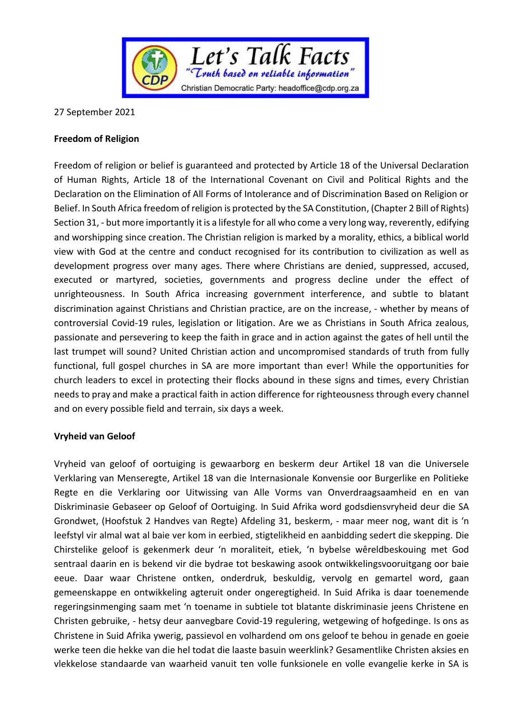

## 27 September 2021

## **Freedom of Religion**

Freedom of religion or belief is guaranteed and protected by Article 18 of the Universal Declaration of Human Rights, Article 18 of the International Covenant on Civil and Political Rights and the Declaration on the Elimination of All Forms of Intolerance and of Discrimination Based on Religion or Belief. In South Africa freedom of religion is protected by the SA Constitution, (Chapter 2 Bill of Rights) Section 31, - but more importantly it is a lifestyle for all who come a very long way, reverently, edifying and worshipping since creation. The Christian religion is marked by a morality, ethics, a biblical world view with God at the centre and conduct recognised for its contribution to civilization as well as development progress over many ages. There where Christians are denied, suppressed, accused, executed or martyred, societies, governments and progress decline under the effect of unrighteousness. In South Africa increasing government interference, and subtle to blatant discrimination against Christians and Christian practice, are on the increase, - whether by means of controversial Covid-19 rules, legislation or litigation. Are we as Christians in South Africa zealous, passionate and persevering to keep the faith in grace and in action against the gates of hell until the last trumpet will sound? United Christian action and uncompromised standards of truth from fully functional, full gospel churches in SA are more important than ever! While the opportunities for church leaders to excel in protecting their flocks abound in these signs and times, every Christian needs to pray and make a practical faith in action difference for righteousness through every channel and on every possible field and terrain, six days a week.

## **Vryheid van Geloof**

Vryheid van geloof of oortuiging is gewaarborg en beskerm deur Artikel 18 van die Universele Verklaring van Menseregte, Artikel 18 van die Internasionale Konvensie oor Burgerlike en Politieke Regte en die Verklaring oor Uitwissing van Alle Vorms van Onverdraagsaamheid en en van Diskriminasie Gebaseer op Geloof of Oortuiging. In Suid Afrika word godsdiensvryheid deur die SA Grondwet, (Hoofstuk 2 Handves van Regte) Afdeling 31, beskerm, - maar meer nog, want dit is 'n leefstyl vir almal wat al baie ver kom in eerbied, stigtelikheid en aanbidding sedert die skepping. Die Chirstelike geloof is gekenmerk deur 'n moraliteit, etiek, 'n bybelse wêreldbeskouing met God sentraal daarin en is bekend vir die bydrae tot beskawing asook ontwikkelingsvooruitgang oor baie eeue. Daar waar Christene ontken, onderdruk, beskuldig, vervolg en gemartel word, gaan gemeenskappe en ontwikkeling agteruit onder ongeregtigheid. In Suid Afrika is daar toenemende regeringsinmenging saam met 'n toename in subtiele tot blatante diskriminasie jeens Christene en Christen gebruike, - hetsy deur aanvegbare Covid-19 regulering, wetgewing of hofgedinge. Is ons as Christene in Suid Afrika ywerig, passievol en volhardend om ons geloof te behou in genade en goeie werke teen die hekke van die hel todat die laaste basuin weerklink? Gesamentlike Christen aksies en vlekkelose standaarde van waarheid vanuit ten volle funksionele en volle evangelie kerke in SA is